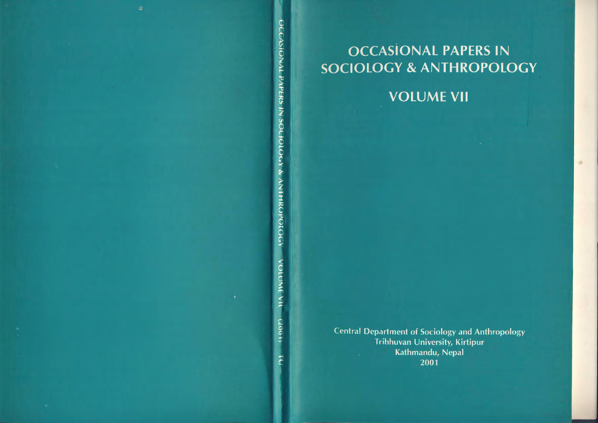

# **OCCASIONAL PAPERS IN SOCIOLOGY & ANTHROPOLOGY**

**VOLUME VII** 

**Central Department of Sociology and Anthropology** Tribhuvan University, Kirtipur Kathmandu, Nepal 2001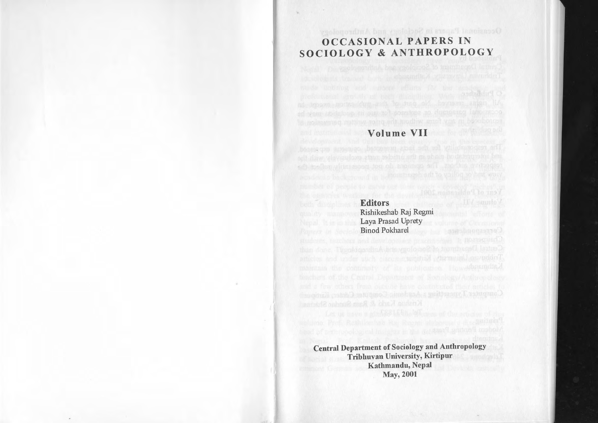# Occasional Papers in Sectology and Anthropology OCCASIONAL PAPERS IN SOCIOLOGY & ANTHROPOLOGY

# Volume VII

Editors Rishikeshab Raj Regmi Laya Prasad Uprety Binod Pokharel

Central Department of Sociology and Anthropology Tribhuvan University, Kirtipur Kathmandu, Nepal May, 2001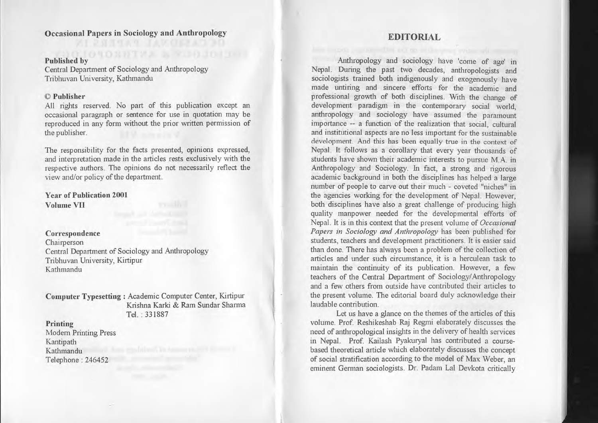# Occasional Papers in Sociology and Anthropology

#### Published by

Central Department of Sociology and Anthropology Tribhuvan University, Kathmandu

#### © Publisher

All rights reserved. No par<sup>t</sup> of this publication excep<sup>t</sup> an occasional paragraph or sentence for use in quotation may be reproduced in any form without the prior written permission of the publisher.

The responsibility for the facts presented, opinions expressed, and interpretation made in the articles rests exclusively with the respective authors. The opinions do not necessarily reflect the view and/or policy of the department.

## Year of Publication 2001 Volume VII

#### Correspondence

Chairperson Central Department of Sociology and Anthropology Tribhuvan University, Kirtipur Kathmandu

Computer Typesetting: Academic Computer Center, Kirtipur Krishna Karki & Ram Sundar Sharma Tel. : 331887

### Printing

Modem Printing Press Kantipath Kathmandu Telephone: 246452

## **EDITORIAL**

Anthropology and sociology have 'come of age' in Nepal. During the pas<sup>t</sup> two decades, anthropologists and sociologists trained both indigenously and exogenously have made untiring and sincere efforts for the academic and professional growth of both disciplines. With the change of development paradigm in the contemporary social world, anthropology and sociology have assumed the paramoun<sup>t</sup> importance -- <sup>a</sup> function of the realization that social, cultural and institutional aspects are no less important for the sustainable development. And this has been equally true in the context of Nepal. It follows as <sup>a</sup> corollary that every year thousands of students have shown their academic interests to pursue M.A. in Anthropology and Sociology. In fact, <sup>a</sup> strong and rigorous academic background in both the disciplines has helped <sup>a</sup> large number of people to carve out their much - coveted "niches" in the agencies working for the development of Nepal. However, both disciplines have also <sup>a</sup> grea<sup>t</sup> challenge of producing high quality manpower needed for the developmental efforts of Nepal. It is in this context that the presen<sup>t</sup> volume of *Occasional Papers in Sociology and Anthropology* has been published for students, teachers and development practitioners. It is easier said than done. There has always been <sup>a</sup> problem of the collection of articles and under such circumstance, it is <sup>a</sup> herculean task to maintain the continuity of its publication. However, <sup>a</sup> few teachers of the Central Department of Sociology/Anthropology and <sup>a</sup> few others from outside have contributed their articles to the presen<sup>t</sup> volume. The editorial board duly acknowledge their laudable contribution.

Let us have <sup>a</sup> glance on the themes of the articles of this volume. Prof. Reshikeshab Raj Regmi elaborately discusses the need of anthropological insights in the delivery of health services in Nepal. Prof. Kailash Pyakuryal has contributed <sup>a</sup> coursebased theoretical article which elaborately discusses the concep<sup>t</sup> of social stratification according to the model of Max Weber, an eminent German sociologists. Dr. Padam Lal Devkota critically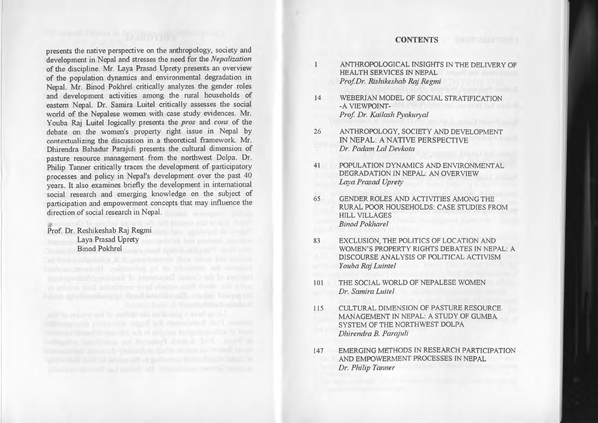#### **CONTENTS**

presents the native perspective on the anthropology, society and development in Nepal and stresses the need for the *Nepalization* of the discipline. Mr. Laya Prasad Uprety presents an overview of the population dynamics and environmental degradation in Nepal. Mr. Binod Pokhrel critically analyzes the gender roles and development activities among the rural households of eastern Nepal. Dr. Samira Luitel critically assesses the social world of the Nepalese women with case study evidences. Mr. Youba Raj Luitel logically presents the *pros* and *cons* of the debate on the women's property right issue in Nepal by contextualizing the discussion in <sup>a</sup> theoretical framework. Mr. Dhirendra Bahadur Parajuli presents the cultural dimension of pasture resource managemen<sup>t</sup> from the northwest Dolpa. Dr. Philip Tanner critically traces the development of participatory processes and policy in Nepal's development over the pas<sup>t</sup> 40 years. It also examines briefly the development in international social research and emerging knowledge on the subject of participation and empowermen<sup>t</sup> concepts that may influence the direction of social research in Nepal.

### Prof. Dr. Reshikeshab Raj Regmi Laya Prasad Uprety Binod Pokhrel

- ANTHROPOLOGICAL INSIGHTS IN THE DELIVERY OF HEALTH SERVICES IN NEPAL *ProfDr. Rishikeshab Raj Regmi*
- 14 WEBERIAN MODEL OF SOCIAL STRATIFICATION -A VIEWPOINT-*Prof Dr. Kailash Pyakuryal*

 $\mathbf{1}$ 

- 26 ANTHROPOLOGY, SOCIETY AND DEVELOPMENT IN NEPAL: A NATIVE PERSPECTNE *Dr. Padam Lal Devkota*
- 41 POPULATION DYNAMICS AND ENVIRONMENTAL DEGRADATION IN NEPAL: AN OVERVIEW *Laya Prasad Uprety*
- 65 GENDER ROLES AND ACTIVITIES AMONG THE RURAL POOR HOUSEHOLDS: CASE STUDIES FROM HILL VILLAGES *Binod Pokharel*
- 83 EXCLUSION, THE POLITICS OF LOCATION AND WOMEN'S PROPERTY RIGHTS DEBATES IN NEPAL: A DISCOURSE ANALYSIS OF POLITICAL ACTIVISM *Youba Raj Luintel*
- 101 THE SOCIAL WORLD OF NEPALESE WOMEN *Dr. Samira Luitel*
- 115 CULTURAL DIMENSION OF PASTURE RESOURCE MANAGEMENT IN NEPAL: A STUDY OF GUMBA SYSTEM OF THE NORTHWEST DOLPA *Dhirendra B. Parajuli*
- 147 EMERGlNG METHODS IN RESEARCH PARTICIPATION AND EMPOWERMENT PROCESSES IN NEPAL *Dr. Philip Tanner*